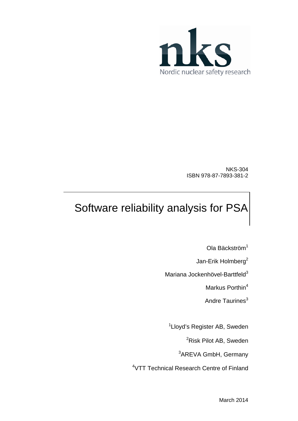

NKS-304 ISBN 978-87-7893-381-2

# Software reliability analysis for PSA

Ola Bäckström<sup>1</sup>

Jan-Erik Holmberg<sup>2</sup>

Mariana Jockenhövel-Barttfeld<sup>3</sup>

Markus Porthin<sup>4</sup>

Andre Taurines<sup>3</sup>

<sup>1</sup>Lloyd's Register AB, Sweden

<sup>2</sup>Risk Pilot AB, Sweden

<sup>3</sup>AREVA GmbH, Germany

4 VTT Technical Research Centre of Finland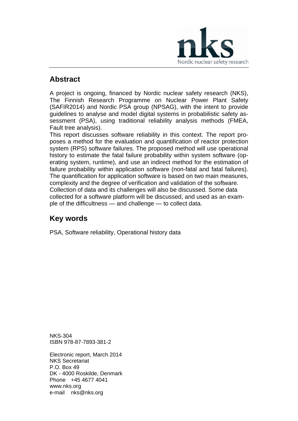

#### **Abstract**

A project is ongoing, financed by Nordic nuclear safety research (NKS), The Finnish Research Programme on Nuclear Power Plant Safety (SAFIR2014) and Nordic PSA group (NPSAG), with the intent to provide guidelines to analyse and model digital systems in probabilistic safety assessment (PSA), using traditional reliability analysis methods (FMEA, Fault tree analysis).

This report discusses software reliability in this context. The report proposes a method for the evaluation and quantification of reactor protection system (RPS) software failures. The proposed method will use operational history to estimate the fatal failure probability within system software (operating system, runtime), and use an indirect method for the estimation of failure probability within application software (non-fatal and fatal failures). The quantification for application software is based on two main measures, complexity and the degree of verification and validation of the software. Collection of data and its challenges will also be discussed. Some data collected for a software platform will be discussed, and used as an example of the difficultness — and challenge — to collect data.

#### **Key words**

PSA, Software reliability, Operational history data

NKS-304 ISBN 978-87-7893-381-2

Electronic report, March 2014 NKS Secretariat P.O. Box 49 DK - 4000 Roskilde, Denmark Phone +45 4677 4041 www.nks.org e-mail nks@nks.org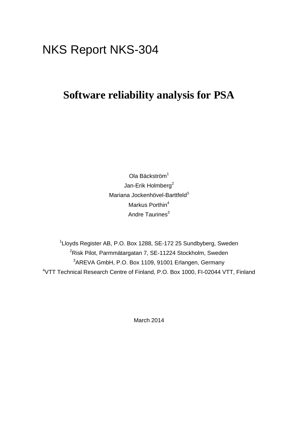## NKS Report NKS-304

## **Software reliability analysis for PSA**

Ola Bäckström<sup>1</sup> Jan-Erik Holmberg<sup>2</sup> Mariana Jockenhövel-Barttfeld<sup>3</sup> Markus Porthin<sup>4</sup> Andre Taurines<sup>3</sup>

<sup>1</sup>Lloyds Register AB, P.O. Box 1288, SE-172 25 Sundbyberg, Sweden <sup>2</sup>Risk Pilot, Parmmätargatan 7, SE-11224 Stockholm, Sweden <sup>3</sup>AREVA GmbH, P.O. Box 1109, 91001 Erlangen, Germany 4 VTT Technical Research Centre of Finland, P.O. Box 1000, FI-02044 VTT, Finland

March 2014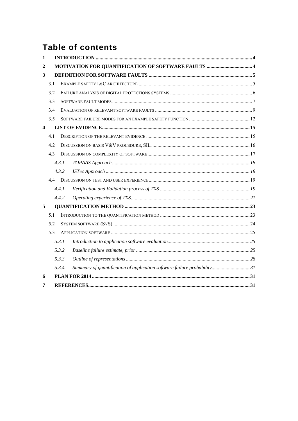## **Table of contents**

| $\mathbf{1}$            |     |       |                                                                         |  |
|-------------------------|-----|-------|-------------------------------------------------------------------------|--|
| 2                       |     |       |                                                                         |  |
| 3                       |     |       |                                                                         |  |
|                         | 3.1 |       |                                                                         |  |
|                         | 3.2 |       |                                                                         |  |
|                         | 3.3 |       |                                                                         |  |
|                         | 3.4 |       |                                                                         |  |
|                         | 3.5 |       |                                                                         |  |
| $\overline{\mathbf{4}}$ |     |       |                                                                         |  |
|                         | 4.1 |       |                                                                         |  |
|                         | 4.2 |       |                                                                         |  |
|                         | 4.3 |       |                                                                         |  |
|                         |     | 4.3.1 |                                                                         |  |
|                         |     | 4.3.2 |                                                                         |  |
|                         | 44  |       |                                                                         |  |
|                         |     | 4.4.1 |                                                                         |  |
|                         |     | 4.4.2 |                                                                         |  |
| 5                       |     |       |                                                                         |  |
|                         | 5.1 |       |                                                                         |  |
|                         | 5.2 |       |                                                                         |  |
|                         | 5.3 |       |                                                                         |  |
|                         |     | 5.3.1 |                                                                         |  |
|                         |     | 5.3.2 |                                                                         |  |
|                         |     | 5.3.3 |                                                                         |  |
|                         |     | 5.3.4 | Summary of quantification of application software failure probability31 |  |
| 6                       |     |       |                                                                         |  |
| 7                       |     |       |                                                                         |  |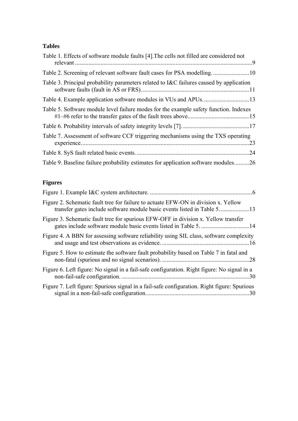#### **Tables**

| Table 1. Effects of software module faults [4]. The cells not filled are considered not |             |
|-----------------------------------------------------------------------------------------|-------------|
| Table 2. Screening of relevant software fault cases for PSA modelling10                 |             |
| Table 3. Principal probability parameters related to I&C failures caused by application |             |
|                                                                                         |             |
| Table 5. Software module level failure modes for the example safety function. Indexes   |             |
|                                                                                         |             |
| Table 7. Assessment of software CCF triggering mechanisms using the TXS operating       | $\ldots$ 23 |
|                                                                                         | .24         |
| Table 9. Baseline failure probability estimates for application software modules26      |             |

#### **Figures**

| Figure 2. Schematic fault tree for failure to actuate EFW-ON in division x. Yellow                  |  |
|-----------------------------------------------------------------------------------------------------|--|
| Figure 3. Schematic fault tree for spurious EFW-OFF in division x. Yellow transfer                  |  |
| Figure 4. A BBN for assessing software reliability using SIL class, software complexity             |  |
| Figure 5. How to estimate the software fault probability based on Table 7 in fatal and              |  |
| Figure 6. Left figure: No signal in a fail-safe configuration. Right figure: No signal in a<br>. 30 |  |
| Figure 7. Left figure: Spurious signal in a fail-safe configuration. Right figure: Spurious         |  |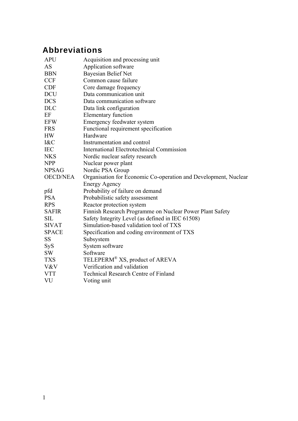## **Abbreviations**

| <b>APU</b>      | Acquisition and processing unit                                 |
|-----------------|-----------------------------------------------------------------|
| <b>AS</b>       | Application software                                            |
| <b>BBN</b>      | <b>Bayesian Belief Net</b>                                      |
| <b>CCF</b>      | Common cause failure                                            |
| <b>CDF</b>      | Core damage frequency                                           |
| <b>DCU</b>      | Data communication unit                                         |
| <b>DCS</b>      | Data communication software                                     |
| <b>DLC</b>      | Data link configuration                                         |
| EF              | <b>Elementary function</b>                                      |
| <b>EFW</b>      | Emergency feedwater system                                      |
| <b>FRS</b>      | Functional requirement specification                            |
| <b>HW</b>       | Hardware                                                        |
| 1&C             | Instrumentation and control                                     |
| <b>IEC</b>      | <b>International Electrotechnical Commission</b>                |
| <b>NKS</b>      | Nordic nuclear safety research                                  |
| <b>NPP</b>      | Nuclear power plant                                             |
| <b>NPSAG</b>    | Nordic PSA Group                                                |
| <b>OECD/NEA</b> | Organisation for Economic Co-operation and Development, Nuclear |
|                 | <b>Energy Agency</b>                                            |
| pfd             | Probability of failure on demand                                |
| <b>PSA</b>      | Probabilistic safety assessment                                 |
| <b>RPS</b>      | Reactor protection system                                       |
| <b>SAFIR</b>    | Finnish Research Programme on Nuclear Power Plant Safety        |
| <b>SIL</b>      | Safety Integrity Level (as defined in IEC 61508)                |
| <b>SIVAT</b>    | Simulation-based validation tool of TXS                         |
| <b>SPACE</b>    | Specification and coding environment of TXS                     |
| SS              | Subsystem                                                       |
| SyS             | System software                                                 |
| SW              | Software                                                        |
| <b>TXS</b>      | TELEPERM <sup>®</sup> XS, product of AREVA                      |
| V&V             | Verification and validation                                     |
| <b>VTT</b>      | <b>Technical Research Centre of Finland</b>                     |
| VU              | Voting unit                                                     |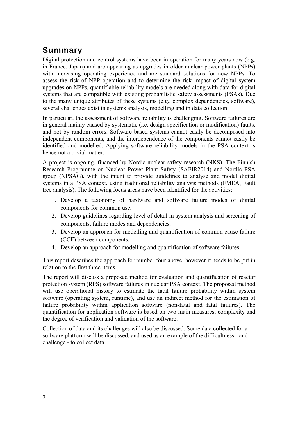### **Summary**

Digital protection and control systems have been in operation for many years now (e.g. in France, Japan) and are appearing as upgrades in older nuclear power plants (NPPs) with increasing operating experience and are standard solutions for new NPPs. To assess the risk of NPP operation and to determine the risk impact of digital system upgrades on NPPs, quantifiable reliability models are needed along with data for digital systems that are compatible with existing probabilistic safety assessments (PSAs). Due to the many unique attributes of these systems (e.g., complex dependencies, software), several challenges exist in systems analysis, modelling and in data collection.

In particular, the assessment of software reliability is challenging. Software failures are in general mainly caused by systematic (i.e. design specification or modification) faults, and not by random errors. Software based systems cannot easily be decomposed into independent components, and the interdependence of the components cannot easily be identified and modelled. Applying software reliability models in the PSA context is hence not a trivial matter.

A project is ongoing, financed by Nordic nuclear safety research (NKS), The Finnish Research Programme on Nuclear Power Plant Safety (SAFIR2014) and Nordic PSA group (NPSAG), with the intent to provide guidelines to analyse and model digital systems in a PSA context, using traditional reliability analysis methods (FMEA, Fault tree analysis). The following focus areas have been identified for the activities:

- 1. Develop a taxonomy of hardware and software failure modes of digital components for common use.
- 2. Develop guidelines regarding level of detail in system analysis and screening of components, failure modes and dependencies.
- 3. Develop an approach for modelling and quantification of common cause failure (CCF) between components.
- 4. Develop an approach for modelling and quantification of software failures.

This report describes the approach for number four above, however it needs to be put in relation to the first three items.

The report will discuss a proposed method for evaluation and quantification of reactor protection system (RPS) software failures in nuclear PSA context. The proposed method will use operational history to estimate the fatal failure probability within system software (operating system, runtime), and use an indirect method for the estimation of failure probability within application software (non-fatal and fatal failures). The quantification for application software is based on two main measures, complexity and the degree of verification and validation of the software.

Collection of data and its challenges will also be discussed. Some data collected for a software platform will be discussed, and used as an example of the difficultness - and challenge - to collect data.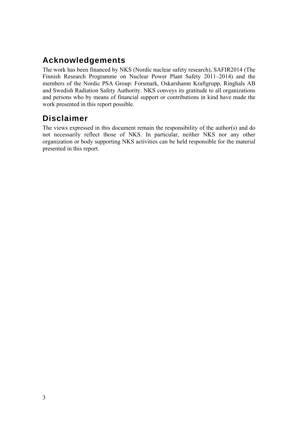## **Acknowledgements**

The work has been financed by NKS (Nordic nuclear safety research), SAFIR2014 (The Finnish Research Programme on Nuclear Power Plant Safety 2011–2014) and the members of the Nordic PSA Group: Forsmark, Oskarshamn Kraftgrupp, Ringhals AB and Swedish Radiation Safety Authority. NKS conveys its gratitude to all organizations and persons who by means of financial support or contributions in kind have made the work presented in this report possible.

## **Disclaimer**

The views expressed in this document remain the responsibility of the author(s) and do not necessarily reflect those of NKS. In particular, neither NKS nor any other organization or body supporting NKS activities can be held responsible for the material presented in this report.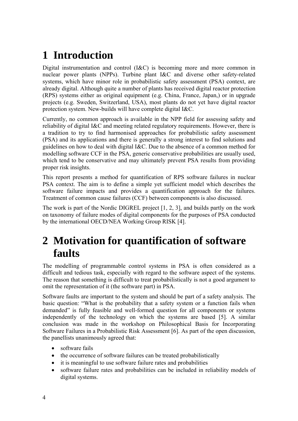## <span id="page-8-0"></span>**1 Introduction**

Digital instrumentation and control (I&C) is becoming more and more common in nuclear power plants (NPPs). Turbine plant I&C and diverse other safety-related systems, which have minor role in probabilistic safety assessment (PSA) context, are already digital. Although quite a number of plants has received digital reactor protection (RPS) systems either as original equipment (e.g. China, France, Japan,) or in upgrade projects (e.g. Sweden, Switzerland, USA), most plants do not yet have digital reactor protection system. New-builds will have complete digital I&C.

Currently, no common approach is available in the NPP field for assessing safety and reliability of digital I&C and meeting related regulatory requirements. However, there is a tradition to try to find harmonised approaches for probabilistic safety assessment (PSA) and its applications and there is generally a strong interest to find solutions and guidelines on how to deal with digital I&C. Due to the absence of a common method for modelling software CCF in the PSA, generic conservative probabilities are usually used, which tend to be conservative and may ultimately prevent PSA results from providing proper risk insights.

This report presents a method for quantification of RPS software failures in nuclear PSA context. The aim is to define a simple yet sufficient model which describes the software failure impacts and provides a quantification approach for the failures. Treatment of common cause failures (CCF) between components is also discussed.

The work is part of the Nordic DIGREL project [[1,](#page-35-1) [2](#page-35-2), [3\]](#page-36-0), and builds partly on the work on taxonomy of failure modes of digital components for the purposes of PSA conducted by the international OECD/NEA Working Group RISK [[4\]](#page-36-1).

## **2 Motivation for quantification of software faults**

The modelling of programmable control systems in PSA is often considered as a difficult and tedious task, especially with regard to the software aspect of the systems. The reason that something is difficult to treat probabilistically is not a good argument to omit the representation of it (the software part) in PSA.

Software faults are important to the system and should be part of a safety analysis. The basic question: "What is the probability that a safety system or a function fails when demanded" is fully feasible and well-formed question for all components or systems independently of the technology on which the systems are based [\[5](#page-36-2)]. A similar conclusion was made in the workshop on Philosophical Basis for Incorporating Software Failures in a Probabilistic Risk Assessment [\[6](#page-36-3)]. As part of the open discussion, the panellists unanimously agreed that:

- software fails
- the occurrence of software failures can be treated probabilistically
- it is meaningful to use software failure rates and probabilities
- software failure rates and probabilities can be included in reliability models of digital systems.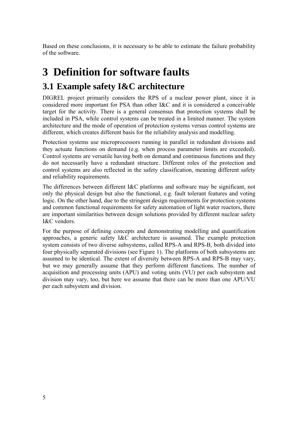<span id="page-9-0"></span>Based on these conclusions, it is necessary to be able to estimate the failure probability of the software.

## **3 Definition for software faults**

## **3.1 Example safety I&C architecture**

DIGREL project primarily considers the RPS of a nuclear power plant, since it is considered more important for PSA than other I&C and it is considered a conceivable target for the activity. There is a general consensus that protection systems shall be included in PSA, while control systems can be treated in a limited manner. The system architecture and the mode of operation of protection systems versus control systems are different, which creates different basis for the reliability analysis and modelling.

Protection systems use microprocessors running in parallel in redundant divisions and they actuate functions on demand (e.g. when process parameter limits are exceeded). Control systems are versatile having both on demand and continuous functions and they do not necessarily have a redundant structure. Different roles of the protection and control systems are also reflected in the safety classification, meaning different safety and reliability requirements.

The differences between different I&C platforms and software may be significant, not only the physical design but also the functional, e.g. fault tolerant features and voting logic. On the other hand, due to the stringent design requirements for protection systems and common functional requirements for safety automation of light water reactors, there are important similarities between design solutions provided by different nuclear safety I&C vendors.

For the purpose of defining concepts and demonstrating modelling and quantification approaches, a generic safety I&C architecture is assumed. The example protection system consists of two diverse subsystems, called RPS-A and RPS-B, both divided into four physically separated divisions (see Figure 1). The platforms of both subsystems are assumed to be identical. The extent of diversity between RPS-A and RPS-B may vary, but we may generally assume that they perform different functions. The number of acquisition and processing units (APU) and voting units (VU) per each subsystem and division may vary, too, but here we assume that there can be more than one APU/VU per each subsystem and division.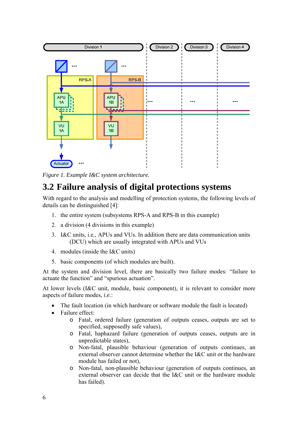<span id="page-10-0"></span>

*Figure 1. Example I&C system architecture.* 

#### <span id="page-10-1"></span>**3.2 Failure analysis of digital protections systems**

With regard to the analysis and modelling of protection systems, the following levels of details can be distinguished [\[4](#page-36-1)]:

- 1. the entire system (subsystems RPS-A and RPS-B in this example)
- 2. a division (4 divisions in this example)
- 3. I&C units, i.e., APUs and VUs. In addition there are data communication units (DCU) which are usually integrated with APUs and VUs
- 4. modules (inside the I&C units)
- 5. basic components (of which modules are built).

At the system and division level, there are basically two failure modes: "failure to actuate the function" and "spurious actuation".

At lower levels (I&C unit, module, basic component), it is relevant to consider more aspects of failure modes, *i.e.*:

- The fault location (in which hardware or software module the fault is located)
- Failure effect:
	- o Fatal, ordered failure (generation of outputs ceases, outputs are set to specified, supposedly safe values),
	- o Fatal, haphazard failure (generation of outputs ceases, outputs are in unpredictable states),
	- o Non-fatal, plausible behaviour (generation of outputs continues, an external observer cannot determine whether the I&C unit or the hardware module has failed or not),
	- o Non-fatal, non-plausible behaviour (generation of outputs continues, an external observer can decide that the I&C unit or the hardware module has failed).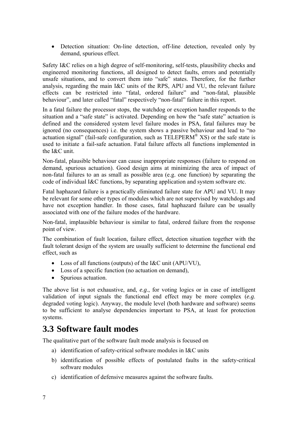<span id="page-11-0"></span>• Detection situation: On-line detection, off-line detection, revealed only by demand, spurious effect.

Safety I&C relies on a high degree of self-monitoring, self-tests, plausibility checks and engineered monitoring functions, all designed to detect faults, errors and potentially unsafe situations, and to convert them into "safe" states. Therefore, for the further analysis, regarding the main I&C units of the RPS, APU and VU, the relevant failure effects can be restricted into "fatal, ordered failure" and "non-fatal, plausible behaviour", and later called "fatal" respectively "non-fatal" failure in this report.

In a fatal failure the processor stops, the watchdog or exception handler responds to the situation and a "safe state" is activated. Depending on how the "safe state" actuation is defined and the considered system level failure modes in PSA, fatal failures may be ignored (no consequences) i.e. the system shows a passive behaviour and lead to "no actuation signal" (fail-safe configuration, such as TELEPERM® XS) or the safe state is used to initiate a fail-safe actuation. Fatal failure affects all functions implemented in the I&C unit.

Non-fatal, plausible behaviour can cause inappropriate responses (failure to respond on demand, spurious actuation). Good design aims at minimizing the area of impact of non-fatal failures to an as small as possible area (e.g. one function) by separating the code of individual I&C functions, by separating application and system software etc.

Fatal haphazard failure is a practically eliminated failure state for APU and VU. It may be relevant for some other types of modules which are not supervised by watchdogs and have not exception handler. In those cases, fatal haphazard failure can be usually associated with one of the failure modes of the hardware.

Non-fatal, implausible behaviour is similar to fatal, ordered failure from the response point of view.

The combination of fault location, failure effect, detection situation together with the fault tolerant design of the system are usually sufficient to determine the functional end effect, such as

- Loss of all functions (outputs) of the I&C unit (APU/VU),
- Loss of a specific function (no actuation on demand),
- Spurious actuation.

The above list is not exhaustive, and, *e.g*., for voting logics or in case of intelligent validation of input signals the functional end effect may be more complex (*e.g*. degraded voting logic). Anyway, the module level (both hardware and software) seems to be sufficient to analyse dependencies important to PSA, at least for protection systems.

### **3.3 Software fault modes**

The qualitative part of the software fault mode analysis is focused on

- a) identification of safety-critical software modules in I&C units
- b) identification of possible effects of postulated faults in the safety-critical software modules
- c) identification of defensive measures against the software faults.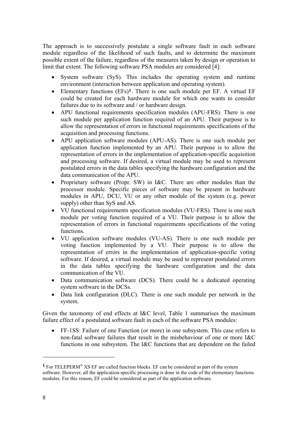The approach is to successively postulate a single software fault in each software module regardless of the likelihood of such faults, and to determine the maximum possible extent of the failure, regardless of the measures taken by design or operation to limit that extent. The following software PSA modules are considered [\[4\]](#page-36-1):

- System software (SyS). This includes the operating system and runtime environment (interaction between application and operating system).
- Elementary functions (EFs)**[1](#page-12-0)**. There is one such module per EF. A virtual EF could be created for each hardware module for which one wants to consider failures due to its software and / or hardware design.
- APU functional requirements specification modules (APU-FRS). There is one such module per application function required of an APU. Their purpose is to allow the representation of errors in functional requirements specifications of the acquisition and processing functions.
- APU application software modules (APU-AS). There is one such module per application function implemented by an APU. Their purpose is to allow the representation of errors in the implementation of application-specific acquisition and processing software. If desired, a virtual module may be used to represent postulated errors in the data tables specifying the hardware configuration and the data communication of the APU.
- Proprietary software (Propr. SW) in I&C. There are other modules than the processor module. Specific pieces of software may be present in hardware modules in APU, DCU, VU or any other module of the system (e.g. power supply) other than SyS and AS.
- VU functional requirements specification modules (VU-FRS). There is one such module per voting function required of a VU. Their purpose is to allow the representation of errors in functional requirements specifications of the voting functions.
- VU application software modules (VU-AS). There is one such module per voting function implemented by a VU. Their purpose is to allow the representation of errors in the implementation of application-specific voting software. If desired, a virtual module may be used to represent postulated errors in the data tables specifying the hardware configuration and the data communication of the VU.
- Data communication software (DCS). There could be a dedicated operating system software in the DCSs.
- Data link configuration (DLC). There is one such module per network in the system.

Given the taxonomy of end effects at I&C level, [Table 1](#page-13-1) summarises the maximum failure effect of a postulated software fault in each of the software PSA modules:

• FF-1SS: Failure of one Function (or more) in one subsystem. This case refers to non-fatal software failures that result in the misbehaviour of one or more I&C functions in one subsystem. The I&C functions that are dependent on the failed

1

<span id="page-12-0"></span>**<sup>1</sup>** For TELEPERM® XS EF are called function blocks. EF can be considered as part of the system software. However, all the application-specific processing is done in the code of the elementary functions modules. For this reason, EF could be considered as part of the application software.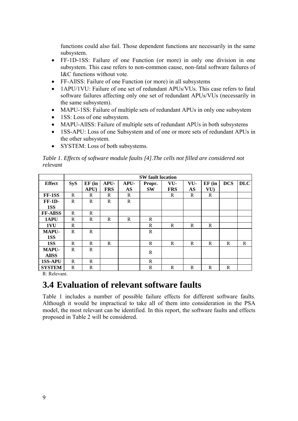<span id="page-13-0"></span>functions could also fail. Those dependent functions are necessarily in the same subsystem.

- FF-1D-1SS: Failure of one Function (or more) in only one division in one subsystem. This case refers to non-common cause, non-fatal software failures of I&C functions without vote.
- FF-AllSS: Failure of one Function (or more) in all subsystems
- 1APU/1VU: Failure of one set of redundant APUs/VUs. This case refers to fatal software failures affecting only one set of redundant APUs/VUs (necessarily in the same subsystem).
- MAPU-1SS: Failure of multiple sets of redundant APUs in only one subsystem
- 1SS: Loss of one subsystem.
- MAPU-AllSS: Failure of multiple sets of redundant APUs in both subsystems
- 1SS-APU: Loss of one Subsystem and of one or more sets of redundant APUs in the other subsystem.
- SYSTEM: Loss of both subsystems.

<span id="page-13-1"></span>*Table 1. Effects of software module faults [\[4](#page-36-1)].The cells not filled are considered not relevant* 

|                 |            | <b>SW</b> fault location |            |           |           |            |     |        |            |            |
|-----------------|------------|--------------------------|------------|-----------|-----------|------------|-----|--------|------------|------------|
| <b>Effect</b>   | <b>SyS</b> | $EF$ (in                 | APU-       | APU-      | Propr.    | VU-        | VU- | EF(in) | <b>DCS</b> | <b>DLC</b> |
|                 |            | APU                      | <b>FRS</b> | <b>AS</b> | <b>SW</b> | <b>FRS</b> | AS  | VU)    |            |            |
| FF-1SS          | R          | R                        | R          | R         |           | R          | R   | R      |            |            |
| $FF-1D-$        | R          | R                        | R          | R         |           |            |     |        |            |            |
| 1SS             |            |                          |            |           |           |            |     |        |            |            |
| <b>FF-AllSS</b> | R          | R                        |            |           |           |            |     |        |            |            |
| 1APU            | R          | R                        | R          | R         | R         |            |     |        |            |            |
| 1VU             | R          |                          |            |           | R         | R          | R   | R      |            |            |
| <b>MAPU-</b>    | R          | R                        |            |           | R         |            |     |        |            |            |
| 1SS             |            |                          |            |           |           |            |     |        |            |            |
| 1SS             | R          | R                        | R          |           | R         | R          | R   | R      | R          | R          |
| <b>MAPU-</b>    | R          | R                        |            |           | R         |            |     |        |            |            |
| <b>AllSS</b>    |            |                          |            |           |           |            |     |        |            |            |
| <b>1SS-APU</b>  | R          | R                        |            |           | R         |            |     |        |            |            |
| <b>SYSTEM</b>   | R          | R                        |            |           | R         | R          | R   | R      | R          |            |

R: Relevant.

#### **3.4 Evaluation of relevant software faults**

[Table 1](#page-13-1) includes a number of possible failure effects for different software faults. Although it would be impractical to take all of them into consideration in the PSA model, the most relevant can be identified. In this report, the software faults and effects proposed in [Table 2](#page-14-1) will be considered.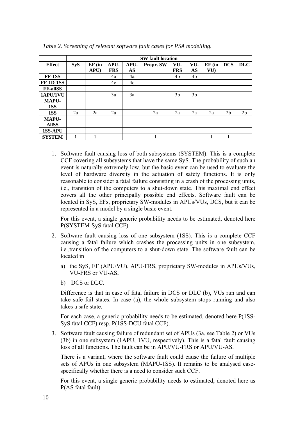<span id="page-14-1"></span>

|                  |            | <b>SW</b> fault location |            |      |           |                |                |        |                |                |
|------------------|------------|--------------------------|------------|------|-----------|----------------|----------------|--------|----------------|----------------|
| <b>Effect</b>    | <b>SyS</b> | $EF$ (in                 | APU-       | APU- | Propr. SW | VU-            | VU-            | EF(in) | <b>DCS</b>     | <b>DLC</b>     |
|                  |            | APU                      | <b>FRS</b> | AS   |           | <b>FRS</b>     | AS             | VU)    |                |                |
| FF-1SS           |            |                          | 4a         | 4a   |           | 4b             | 4b             |        |                |                |
| <b>FF-1D-1SS</b> |            |                          | 4c         | 4c   |           |                |                |        |                |                |
| <b>FF-allSS</b>  |            |                          |            |      |           |                |                |        |                |                |
| 1APU/1VU         |            |                          | 3a         | 3a   |           | 3 <sub>b</sub> | 3 <sub>b</sub> |        |                |                |
| MAPU-            |            |                          |            |      |           |                |                |        |                |                |
| 1SS              |            |                          |            |      |           |                |                |        |                |                |
| 1SS              | 2a         | 2a                       | 2a         |      | 2a        | 2a             | 2a             | 2a     | 2 <sub>b</sub> | 2 <sub>b</sub> |
| MAPU-            |            |                          |            |      |           |                |                |        |                |                |
| <b>AllSS</b>     |            |                          |            |      |           |                |                |        |                |                |
| <b>1SS-APU</b>   |            |                          |            |      |           |                |                |        |                |                |
| <b>SYSTEM</b>    |            |                          |            |      |           |                |                |        |                |                |

<span id="page-14-0"></span>*Table 2. Screening of relevant software fault cases for PSA modelling.* 

1. Software fault causing loss of both subsystems (SYSTEM). This is a complete CCF covering all subsystems that have the same SyS. The probability of such an event is naturally extremely low, but the basic event can be used to evaluate the level of hardware diversity in the actuation of safety functions. It is only reasonable to consider a fatal failure consisting in a crash of the processing units, i.e., transition of the computers to a shut-down state. This maximal end effect covers all the other principally possible end effects. Software fault can be located in SyS, EFs, proprietary SW-modules in APUs/VUs, DCS, but it can be represented in a model by a single basic event.

For this event, a single generic probability needs to be estimated, denoted here P(SYSTEM-SyS fatal CCF).

- 2. Software fault causing loss of one subsystem (1SS). This is a complete CCF causing a fatal failure which crashes the processing units in one subsystem, i.e.,transition of the computers to a shut-down state. The software fault can be located in
	- a) the SyS, EF (APU/VU), APU-FRS, proprietary SW-modules in APUs/VUs, VU-FRS or VU-AS,
	- b) DCS or DLC.

Difference is that in case of fatal failure in DCS or DLC (b), VUs run and can take safe fail states. In case (a), the whole subsystem stops running and also takes a safe state.

For each case, a generic probability needs to be estimated, denoted here P(1SS-SyS fatal CCF) resp. P(1SS-DCU fatal CCF).

3. Software fault causing failure of redundant set of APUs (3a, see [Table 2](#page-14-1)) or VUs (3b) in one subsystem (1APU, 1VU, respectively). This is a fatal fault causing loss of all functions. The fault can be in APU/VU-FRS or APU/VU-AS.

There is a variant, where the software fault could cause the failure of multiple sets of APUs in one subsystem (MAPU-1SS). It remains to be analysed casespecifically whether there is a need to consider such CCF.

For this event, a single generic probability needs to estimated, denoted here as P(AS fatal fault).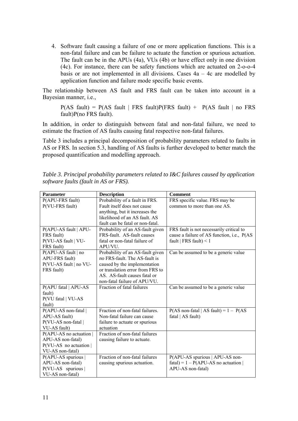<span id="page-15-0"></span>4. Software fault causing a failure of one or more application functions. This is a non-fatal failure and can be failure to actuate the function or spurious actuation. The fault can be in the APUs (4a), VUs (4b) or have effect only in one division (4c). For instance, there can be safety functions which are actuated on 2-o-o-4 basis or are not implemented in all divisions. Cases  $4a - 4c$  are modelled by application function and failure mode specific basic events.

The relationship between AS fault and FRS fault can be taken into account in a Bayesian manner, i.e.,

 $P(AS \text{ fault}) = P(AS \text{ fault} | FRS \text{ fault})P(FRS \text{ fault}) + P(AS \text{ fault} | no FRS$ fault)P(no FRS fault).

In addition, in order to distinguish between fatal and non-fatal failure, we need to estimate the fraction of AS faults causing fatal respective non-fatal failures.

[Table 3](#page-15-1) includes a principal decomposition of probability parameters related to faults in AS or FRS. In section [5.3](#page-29-1), handling of AS faults is further developed to better match the proposed quantification and modelling approach.

<span id="page-15-1"></span>*Table 3. Principal probability parameters related to I&C failures caused by application software faults (fault in AS or FRS).* 

| <b>Parameter</b>                 | <b>Description</b>               | <b>Comment</b>                                           |
|----------------------------------|----------------------------------|----------------------------------------------------------|
| P(APU-FRS fault)                 | Probability of a fault in FRS.   | FRS specific value. FRS may be                           |
| P(VU-FRS fault)                  | Fault itself does not cause      | common to more than one AS.                              |
|                                  | anything, but it increases the   |                                                          |
|                                  | likelihood of an AS fault. AS    |                                                          |
|                                  | fault can be fatal or non-fatal. |                                                          |
| P(APU-AS fault   APU-            | Probability of an AS-fault given | FRS fault is not necessarily critical to                 |
| FRS fault)                       | FRS-fault. AS-fault causes       | cause a failure of AS function, i.e., P(AS               |
| P(VU-AS fault   VU-              | fatal or non-fatal failure of    | fault   FRS fault $) < 1$                                |
| FRS fault)                       | APU/VU.                          |                                                          |
| P(APU-AS fault   no              | Probability of an AS-fault given | Can be assumed to be a generic value                     |
| APU-FRS fault)                   | no FRS-fault. The AS-fault is    |                                                          |
| P(VU-AS fault   no VU-           | caused by the implementation     |                                                          |
| FRS fault)                       | or translation error from FRS to |                                                          |
|                                  | AS. AS-fault causes fatal or     |                                                          |
|                                  | non-fatal failure of APU/VU.     |                                                          |
| P(APU fatal   APU-AS             | Fraction of fatal failures       | Can be assumed to be a generic value                     |
| fault)                           |                                  |                                                          |
| P(VU fatal   VU-AS               |                                  |                                                          |
| fault)                           |                                  |                                                          |
| P(APU-AS non-fatal)              | Fraction of non-fatal failures.  | $P(AS \text{ non-fatal}   AS \text{ fault}) = 1 - P(AS)$ |
| APU-AS fault)                    | Non-fatal failure can cause      | fatal   AS fault)                                        |
| P(VU-AS non-fatal                | failure to actuate or spurious   |                                                          |
| VU-AS fault)                     | actuation                        |                                                          |
| $P(APU-AS \text{ no actuation})$ | Fraction of non-fatal failures   |                                                          |
| APU-AS non-fatal)                | causing failure to actuate.      |                                                          |
| $P(VU-AS)$ no actuation          |                                  |                                                          |
| VU-AS non-fatal)                 |                                  |                                                          |
| $P(APU-AS$ spurious $ $          | Fraction of non-fatal failures   | P(APU-AS spurious   APU-AS non-                          |
| APU-AS non-fatal)                | causing spurious actuation.      | $fatal$ ) = 1 – P(APU-AS no actuation                    |
| $P(VU-AS$ spurious               |                                  | APU-AS non-fatal)                                        |
| VU-AS non-fatal)                 |                                  |                                                          |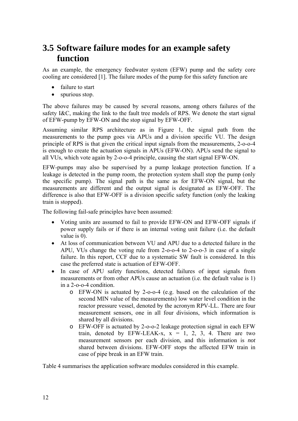### <span id="page-16-0"></span>**3.5 Software failure modes for an example safety function**

As an example, the emergency feedwater system (EFW) pump and the safety core cooling are considered [[1\]](#page-36-4). The failure modes of the pump for this safety function are

- failure to start
- spurious stop.

The above failures may be caused by several reasons, among others failures of the safety I&C, making the link to the fault tree models of RPS. We denote the start signal of EFW-pump by EFW-ON and the stop signal by EFW-OFF.

Assuming similar RPS architecture as in [Figure 1](#page-10-1), the signal path from the measurements to the pump goes via APUs and a division specific VU. The design principle of RPS is that given the critical input signals from the measurements, 2-o-o-4 is enough to create the actuation signals in APUs (EFW-ON). APUs send the signal to all VUs, which vote again by 2-o-o-4 principle, causing the start signal EFW-ON.

EFW-pumps may also be supervised by a pump leakage protection function. If a leakage is detected in the pump room, the protection system shall stop the pump (only the specific pump). The signal path is the same as for EFW-ON signal, but the measurements are different and the output signal is designated as EFW-OFF. The difference is also that EFW-OFF is a division specific safety function (only the leaking train is stopped).

The following fail-safe principles have been assumed:

- Voting units are assumed to fail to provide EFW-ON and EFW-OFF signals if power supply fails or if there is an internal voting unit failure (i.e. the default value is 0).
- At loss of communication between VU and APU due to a detected failure in the APU, VUs change the voting rule from 2-o-o-4 to 2-o-o-3 in case of a single failure. In this report, CCF due to a systematic SW fault is considered. In this case the preferred state is actuation of EFW-OFF.
- In case of APU safety functions, detected failures of input signals from measurements or from other APUs cause an actuation (i.e. the default value is 1) in a 2-o-o-4 condition.
	- o EFW-ON is actuated by 2-o-o-4 (e.g. based on the calculation of the second MIN value of the measurements) low water level condition in the reactor pressure vessel, denoted by the acronym RPV-LL. There are four measurement sensors, one in all four divisions, which information is shared by all divisions.
	- o EFW-OFF is actuated by 2-o-o-2 leakage protection signal in each EFW train, denoted by  $EFW-LEAK-x$ ,  $x = 1, 2, 3, 4$ . There are two measurement sensors per each division, and this information is *not* shared between divisions. EFW-OFF stops the affected EFW train in case of pipe break in an EFW train.

[Table 4](#page-17-1) summarises the application software modules considered in this example.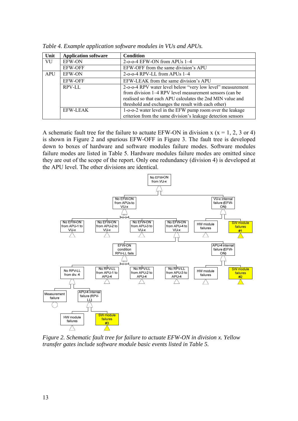<span id="page-17-1"></span>

| Unit       | <b>Application software</b> | <b>Condition</b>                                             |
|------------|-----------------------------|--------------------------------------------------------------|
| VU         | <b>EFW-ON</b>               | $2$ -o-o-4 EFW-ON from APUs $1-4$                            |
|            | <b>EFW-OFF</b>              | EFW-OFF from the same division's APU                         |
| <b>APU</b> | <b>EFW-ON</b>               | $2$ -o-o-4 RPV-LL from APUs $1-4$                            |
|            | <b>EFW-OFF</b>              | EFW-LEAK from the same division's APU                        |
|            | RPV-LL                      | 2-o-o-4 RPV water level below "very low level" measurement   |
|            |                             | from division 1–4 RPV level measurement sensors (can be      |
|            |                             | realised so that each APU calculates the 2nd MIN value and   |
|            |                             | threshold and exchanges the result with each other)          |
|            | EFW-LEAK                    | 1-o-o-2 water level in the EFW pump room over the leakage    |
|            |                             | criterion from the same division's leakage detection sensors |

<span id="page-17-0"></span>*Table 4. Example application software modules in VUs and APUs.* 

A schematic fault tree for the failure to actuate EFW-ON in division  $x (x = 1, 2, 3 \text{ or } 4)$ is shown in [Figure 2](#page-17-2) and spurious EFW-OFF in [Figure 3.](#page-18-1) The fault tree is developed down to boxes of hardware and software modules failure modes. Software modules failure modes are listed in [Table 5.](#page-19-1) Hardware modules failure modes are omitted since they are out of the scope of the report. Only one redundancy (division 4) is developed at the APU level. The other divisions are identical.



<span id="page-17-2"></span>*Figure 2. Schematic fault tree for failure to actuate EFW-ON in division x. Yellow transfer gates include software module basic events listed in [Table 5](#page-19-1).*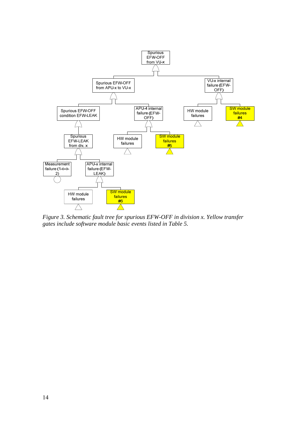<span id="page-18-0"></span>

<span id="page-18-1"></span>*Figure 3. Schematic fault tree for spurious EFW-OFF in division x. Yellow transfer gates include software module basic events listed in [Table 5](#page-19-1).*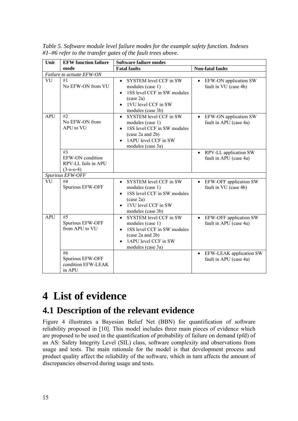| Unit       | <b>EFW</b> function failure                                  | <b>Software failure modes</b>                                                                                                                                        |                                                                |  |  |  |  |
|------------|--------------------------------------------------------------|----------------------------------------------------------------------------------------------------------------------------------------------------------------------|----------------------------------------------------------------|--|--|--|--|
|            | mode                                                         | <b>Fatal faults</b>                                                                                                                                                  | <b>Non-fatal faults</b>                                        |  |  |  |  |
|            | Failure to actuate EFW-ON                                    |                                                                                                                                                                      |                                                                |  |  |  |  |
| VU         | #1<br>No EFW-ON from VU                                      | SYSTEM level CCF in SW<br>$\bullet$<br>modules (case 1)<br>1SS level CCF in SW modules<br>$(\case 2a)$<br>1VU level CCF in SW<br>modules (case 3b)                   | EFW-ON application SW<br>$\bullet$<br>fault in VU (case 4b)    |  |  |  |  |
| <b>APU</b> | #2<br>No EFW-ON from<br>APU to VU                            | SYSTEM level CCF in SW<br>$\bullet$<br>modules (case 1)<br>1SS level CCF in SW modules<br>$\bullet$<br>(case 2a and 2b)<br>1APU level CCF in SW<br>modules (case 3a) | EFW-ON application SW<br>$\bullet$<br>fault in APU (case 4a)   |  |  |  |  |
|            | #3<br>EFW-ON condition<br>RPV-LL fails in APU<br>$(3-0-0-4)$ |                                                                                                                                                                      | RPV-LL application SW<br>fault in APU (case 4a)                |  |  |  |  |
|            | Spurious EFW-OFF                                             |                                                                                                                                                                      |                                                                |  |  |  |  |
| VU         | #4<br>Spurious EFW-OFF                                       | SYSTEM level CCF in SW<br>modules (case 1)<br>1SS level CCF in SW modules<br>(case 2a)<br>1VU level CCF in SW<br>modules (case 3b)                                   | EFW-OFF application SW<br>fault in VU (case 4b)                |  |  |  |  |
| <b>APU</b> | #5<br>Spurious EFW-OFF<br>from APU to VU                     | SYSTEM level CCF in SW<br>$\bullet$<br>modules (case 1)<br>1SS level CCF in SW modules<br>(case 2a and 2b)<br>1APU level CCF in SW<br>modules (case 3a)              | EFW-OFF application SW<br>$\bullet$<br>fault in APU (case 4a)  |  |  |  |  |
|            | #6<br>Spurious EFW-OFF<br>condition EFW-LEAK<br>in APU       |                                                                                                                                                                      | EFW-LEAK application SW<br>$\bullet$<br>fault in APU (case 4a) |  |  |  |  |

<span id="page-19-1"></span><span id="page-19-0"></span>*Table 5. Software module level failure modes for the example safety function. Indexes #1–#6 refer to the transfer gates of the fault trees above.* 

## **4 List of evidence**

## **4.1 Description of the relevant evidence**

Figure 4 illustrates a Bayesian Belief Net (BBN) for quantification of software reliability proposed in [[10\]](#page-36-5). This model includes three main pieces of evidence which are proposed to be used in the quantification of probability of failure on demand (pfd) of an AS: Safety Integrity Level (SIL) class, software complexity and observations from usage and tests. The main rationale for the model is that development process and product quality affect the reliability of the software, which in turn affects the amount of discrepancies observed during usage and tests.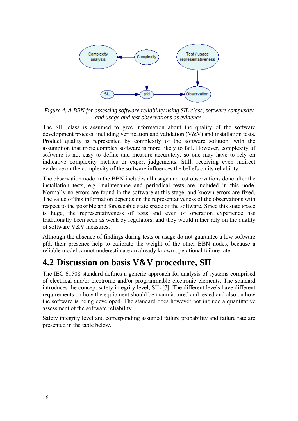<span id="page-20-0"></span>

*Figure 4. A BBN for assessing software reliability using SIL class, software complexity and usage and test observations as evidence.* 

The SIL class is assumed to give information about the quality of the software development process, including verification and validation (V&V) and installation tests. Product quality is represented by complexity of the software solution, with the assumption that more complex software is more likely to fail. However, complexity of software is not easy to define and measure accurately, so one may have to rely on indicative complexity metrics or expert judgements. Still, receiving even indirect evidence on the complexity of the software influences the beliefs on its reliability.

The observation node in the BBN includes all usage and test observations done after the installation tests, e.g. maintenance and periodical tests are included in this node. Normally no errors are found in the software at this stage, and known errors are fixed. The value of this information depends on the representativeness of the observations with respect to the possible and foreseeable state space of the software. Since this state space is huge, the representativeness of tests and even of operation experience has traditionally been seen as weak by regulators, and they would rather rely on the quality of software V&V measures.

Although the absence of findings during tests or usage do not guarantee a low software pfd, their presence help to calibrate the weight of the other BBN nodes, because a reliable model cannot underestimate an already known operational failure rate.

## **4.2 Discussion on basis V&V procedure, SIL**

The IEC 61508 standard defines a generic approach for analysis of systems comprised of electrical and/or electronic and/or programmable electronic elements. The standard introduces the concept safety integrity level, SIL [\[7](#page-36-6)]. The different levels have different requirements on how the equipment should be manufactured and tested and also on how the software is being developed. The standard does however not include a quantitative assessment of the software reliability.

Safety integrity level and corresponding assumed failure probability and failure rate are presented in the table below.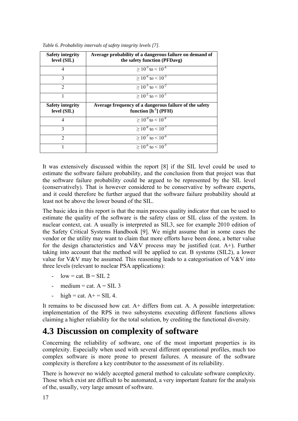<span id="page-21-1"></span>

| <b>Safety integrity</b><br>level (SIL) | Average probability of a dangerous failure on demand of<br>the safety function (PFDavg) |
|----------------------------------------|-----------------------------------------------------------------------------------------|
| 4                                      | $> 10^{-5}$ to $< 10^{-4}$                                                              |
| 3                                      | $> 10^{-4}$ to $< 10^{-3}$                                                              |
| $\mathfrak{D}$                         | $> 10^{-3}$ to $< 10^{-2}$                                                              |
|                                        | $> 10^{-2}$ to $< 10^{-1}$                                                              |
| <b>Safety integrity</b><br>level (SIL) | Average frequency of a dangerous failure of the safety<br>function $[h^{-1}]$ (PFH)     |
| 4                                      | $> 10^{-9}$ to $< 10^{-8}$                                                              |
| $\mathbf 3$                            | $> 10^{-8}$ to $< 10^{-7}$                                                              |
| $\mathcal{D}$                          | $> 10^{-7}$ to $< 10^{-6}$                                                              |
|                                        | $> 10^{-6}$ to $< 10^{-5}$                                                              |

<span id="page-21-0"></span>*Table 6. Probability intervals of safety integrity levels [[7\]](#page-36-6).* 

It was extensively discussed within the report [\[8](#page-36-7)] if the SIL level could be used to estimate the software failure probability, and the conclusion from that project was that the software failure probability could be argued to be represented by the SIL level (conservatively). That is however considered to be conservative by software experts, and it could therefore be further argued that the software failure probability should at least not be above the lower bound of the SIL.

The basic idea in this report is that the main process quality indicator that can be used to estimate the quality of the software is the safety class or SIL class of the system. In nuclear context, cat. A usually is interpreted as SIL3, see for example 2010 edition of the Safety Critical Systems Handbook [\[9](#page-36-8)]. We might assume that in some cases the vendor or the utility may want to claim that more efforts have been done, a better value for the design characteristics and V&V process may be justified (cat.  $A+$ ). Further taking into account that the method will be applied to cat. B systems (SIL2), a lower value for  $V&V$  may be assumed. This reasoning leads to a categorisation of  $V&V$  into three levels (relevant to nuclear PSA applications):

- $low = cat. B = SIL 2$
- $median = cat. A = SIL 3$
- high = cat.  $A$ + = SIL 4.

It remains to be discussed how cat.  $A+$  differs from cat. A. A possible interpretation: implementation of the RPS in two subsystems executing different functions allows claiming a higher reliability for the total solution, by crediting the functional diversity.

### **4.3 Discussion on complexity of software**

Concerning the reliability of software, one of the most important properties is its complexity. Especially when used with several different operational profiles, much too complex software is more prone to present failures. A measure of the software complexity is therefore a key contributor to the assessment of its reliability.

There is however no widely accepted general method to calculate software complexity. Those which exist are difficult to be automated, a very important feature for the analysis of the, usually, very large amount of software.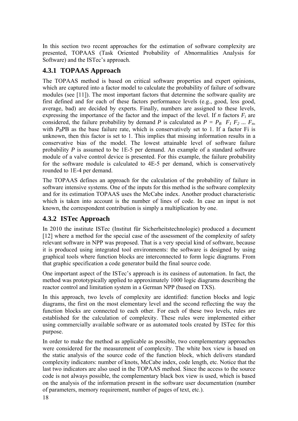<span id="page-22-0"></span>In this section two recent approaches for the estimation of software complexity are presented, TOPAAS (Task Oriented Probability of Abnormalities Analysis for Software) and the ISTec's approach.

#### **4.3.1 TOPAAS Approach**

The TOPAAS method is based on critical software properties and expert opinions, which are captured into a factor model to calculate the probability of failure of software modules (see [[11\]](#page-36-9)). The most important factors that determine the software quality are first defined and for each of these factors performance levels (e.g., good, less good, average, bad) are decided by experts. Finally, numbers are assigned to these levels, expressing the importance of the factor and the impact of the level. If *n* factors  $F_i$  are considered, the failure probability by demand *P* is calculated as  $P = P_B \ F_I \ F_2 \ ... \ F_n$ , with  $P_B$ PB as the base failure rate, which is conservatively set to 1. If a factor Fi is unknown, then this factor is set to 1. This implies that missing information results in a conservative bias of the model. The lowest attainable level of software failure probability *P* is assumed to be 1E-5 per demand. An example of a standard software module of a valve control device is presented. For this example, the failure probability for the software module is calculated to 4E-5 per demand, which is conservatively rounded to 1E-4 per demand.

The TOPAAS defines an approach for the calculation of the probability of failure in software intensive systems. One of the inputs for this method is the software complexity and for its estimation TOPAAS uses the McCabe index. Another product characteristic which is taken into account is the number of lines of code. In case an input is not known, the correspondent contribution is simply a multiplication by one.

#### **4.3.2 ISTec Approach**

In 2010 the institute ISTec (Institut für Sicherheitstechnologie) produced a document [\[12](#page-36-10)] where a method for the special case of the assessment of the complexity of safety relevant software in NPP was proposed. That is a very special kind of software, because it is produced using integrated tool environments: the software is designed by using graphical tools where function blocks are interconnected to form logic diagrams. From that graphic specification a code generator build the final source code.

One important aspect of the ISTec's approach is its easiness of automation. In fact, the method was prototypically applied to approximately 1000 logic diagrams describing the reactor control and limitation system in a German NPP (based on TXS).

In this approach, two levels of complexity are identified: function blocks and logic diagrams, the first on the most elementary level and the second reflecting the way the function blocks are connected to each other. For each of these two levels, rules are established for the calculation of complexity. These rules were implemented either using commercially available software or as automated tools created by ISTec for this purpose.

In order to make the method as applicable as possible, two complementary approaches were considered for the measurement of complexity. The white box view is based on the static analysis of the source code of the function block, which delivers standard complexity indicators: number of knots, McCabe index, code length, etc. Notice that the last two indicators are also used in the TOPAAS method. Since the access to the source code is not always possible, the complementary black box view is used, which is based on the analysis of the information present in the software user documentation (number of parameters, memory requirement, number of pages of text, etc.).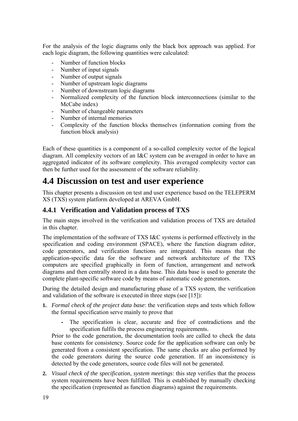<span id="page-23-0"></span>For the analysis of the logic diagrams only the black box approach was applied. For each logic diagram, the following quantities were calculated:

- Number of function blocks
- Number of input signals
- Number of output signals
- Number of upstream logic diagrams
- Number of downstream logic diagrams
- Normalized complexity of the function block interconnections (similar to the McCabe index)
- Number of changeable parameters
- Number of internal memories
- Complexity of the function blocks themselves (information coming from the function block analysis)

Each of these quantities is a component of a so-called complexity vector of the logical diagram. All complexity vectors of an I&C system can be averaged in order to have an aggregated indicator of its software complexity. This averaged complexity vector can then be further used for the assessment of the software reliability.

#### **4.4 Discussion on test and user experience**

This chapter presents a discussion on test and user experience based on the TELEPERM XS (TXS) system platform developed at AREVA GmbH.

#### **4.4.1 Verification and Validation process of TXS**

The main steps involved in the verification and validation process of TXS are detailed in this chapter.

The implementation of the software of TXS I&C systems is performed effectively in the specification and coding environment (SPACE), where the function diagram editor, code generators, and verification functions are integrated. This means that the application-specific data for the software and network architecture of the TXS computers are specified graphically in form of function, arrangement and network diagrams and then centrally stored in a data base. This data base is used to generate the complete plant-specific software code by means of automatic code generators.

During the detailed design and manufacturing phase of a TXS system, the verification and validation of the software is executed in three steps (see [[15\]](#page-36-11)):

- **1.** *Formal check of the project data base*: the verification steps and tests which follow the formal specification serve mainly to prove that
	- **-** The specification is clear, accurate and free of contradictions and the specification fulfils the process engineering requirements.

Prior to the code generation, the documentation tools are called to check the data base contents for consistency. Source code for the application software can only be generated from a consistent specification. The same checks are also performed by the code generators during the source code generation. If an inconsistency is detected by the code generators, source code files will not be generated.

**2.** *Visual check of the specification, system meetings*: this step verifies that the process system requirements have been fulfilled. This is established by manually checking the specification (represented as function diagrams) against the requirements.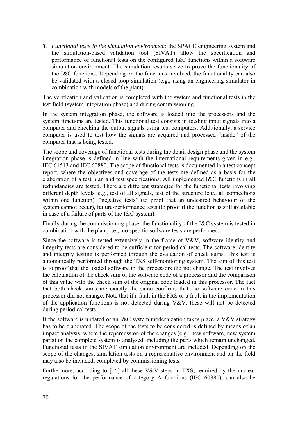**3.** *Functional tests in the simulation environment*: the SPACE engineering system and the simulation-based validation tool (SIVAT) allow the specification and performance of functional tests on the configured I&C functions within a software simulation environment. The simulation results serve to prove the functionality of the I&C functions. Depending on the functions involved, the functionality can also be validated with a closed-loop simulation (e.g., using an engineering simulator in combination with models of the plant).

The verification and validation is completed with the system and functional tests in the test field (system integration phase) and during commissioning.

In the system integration phase, the software is loaded into the processors and the system functions are tested. This functional test consists in feeding input signals into a computer and checking the output signals using test computers. Additionally, a service computer is used to test how the signals are acquired and processed "inside" of the computer that is being tested.

The scope and coverage of functional tests during the detail design phase and the system integration phase is defined in line with the international requirements given in e.g., IEC 61513 and IEC 60880. The scope of functional tests is documented in a test concept report, where the objectives and coverage of the tests are defined as a basis for the elaboration of a test plan and test specifications. All implemented I&C functions in all redundancies are tested. There are different strategies for the functional tests involving different depth levels, e.g., test of all signals, test of the structure (e.g., all connections within one function), "negative tests" (to proof that an undesired behaviour of the system cannot occur), failure-performance tests (to proof if the function is still available in case of a failure of parts of the I&C system).

Finally during the commissioning phase, the functionality of the I&C system is tested in combination with the plant, i.e., no specific software tests are performed.

Since the software is tested extensively in the frame of V&V, software identity and integrity tests are considered to be sufficient for periodical tests. The software identity and integrity testing is performed through the evaluation of check sums. This test is automatically performed through the TXS self-monitoring system. The aim of this test is to proof that the loaded software in the processors did not change. The test involves the calculation of the check sum of the software code of a processor and the comparison of this value with the check sum of the original code loaded in this processor. The fact that both check sums are exactly the same confirms that the software code in this processor did not change. Note that if a fault in the FRS or a fault in the implementation of the application functions is not detected during V&V, these will not be detected during periodical tests.

If the software is updated or an I&C system modernization takes place, a V&V strategy has to be elaborated. The scope of the tests to be considered is defined by means of an impact analysis, where the repercussion of the changes (e.g., new software, new system parts) on the complete system is analysed, including the parts which remain unchanged. Functional tests in the SIVAT simulation environment are included. Depending on the scope of the changes, simulation tests on a representative environment and on the field may also be included, completed by commissioning tests.

Furthermore, according to  $[16]$  $[16]$  all these V&V steps in TXS, required by the nuclear regulations for the performance of category A functions (IEC 60880), can also be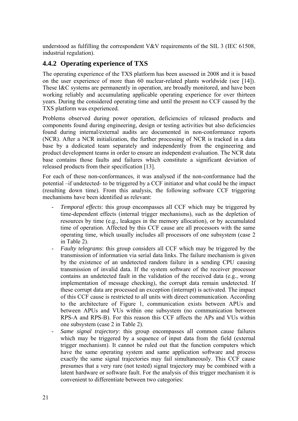<span id="page-25-0"></span>understood as fulfilling the correspondent V&V requirements of the SIL 3 (IEC 61508, industrial regulation).

#### <span id="page-25-1"></span>**4.4.2 Operating experience of TXS**

The operating experience of the TXS platform has been assessed in 2008 and it is based on the user experience of more than 60 nuclear-related plants worldwide (see [\[14](#page-36-13)]). These I&C systems are permanently in operation, are broadly monitored, and have been working reliably and accumulating applicable operating experience for over thirteen years. During the considered operating time and until the present no CCF caused by the TXS platform was experienced.

Problems observed during power operation, deficiencies of released products and components found during engineering, design or testing activities but also deficiencies found during internal/external audits are documented in non-conformance reports (NCR). After a NCR initialization, the further processing of NCR is tracked in a data base by a dedicated team separately and independently from the engineering and product development teams in order to ensure an independent evaluation. The NCR data base contains those faults and failures which constitute a significant deviation of released products from their specification [\[13](#page-36-14)].

For each of these non-conformances, it was analysed if the non-conformance had the potential –if undetected- to be triggered by a CCF initiator and what could be the impact (resulting down time). From this analysis, the following software CCF triggering mechanisms have been identified as relevant:

- *Temporal effects*: this group encompasses all CCF which may be triggered by time-dependent effects (internal trigger mechanisms), such as the depletion of resources by time (e.g., leakages in the memory allocation), or by accumulated time of operation. Affected by this CCF cause are all processors with the same operating time, which usually includes all processors of one subsystem (case 2 in [Table 2\)](#page-14-1).
- *Faulty telegrams*: this group considers all CCF which may be triggered by the transmission of information via serial data links. The failure mechanism is given by the existence of an undetected random failure in a sending CPU causing transmission of invalid data. If the system software of the receiver processor contains an undetected fault in the validation of the received data (e.g., wrong implementation of message checking), the corrupt data remain undetected. If these corrupt data are processed an exception (interrupt) is activated. The impact of this CCF cause is restricted to all units with direct communication. According to the architecture of [Figure 1](#page-10-1), communication exists between APUs and between APUs and VUs within one subsystem (no communication between RPS-A and RPS-B). For this reason this CCF affects the APs and VUs within one subsystem (case 2 in [Table 2\)](#page-14-1).
- *Same signal trajectory*: this group encompasses all common cause failures which may be triggered by a sequence of input data from the field (external trigger mechanism). It cannot be ruled out that the function computers which have the same operating system and same application software and process exactly the same signal trajectories may fail simultaneously. This CCF cause presumes that a very rare (not tested) signal trajectory may be combined with a latent hardware or software fault. For the analysis of this trigger mechanism it is convenient to differentiate between two categories: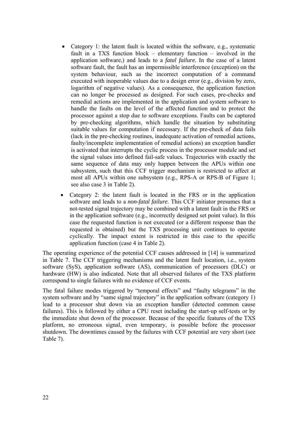- Category 1: the latent fault is located within the software, e.g., systematic fault in a TXS function block – elementary function – involved in the application software,) and leads to a *fatal failure.* In the case of a latent software fault, the fault has an impermissible interference (exception) on the system behaviour, such as the incorrect computation of a command executed with inoperable values due to a design error (e.g., division by zero, logarithm of negative values). As a consequence, the application function can no longer be processed as designed. For such cases, pre-checks and remedial actions are implemented in the application and system software to handle the faults on the level of the affected function and to protect the processor against a stop due to software exceptions. Faults can be captured by pre-checking algorithms, which handle the situation by substituting suitable values for computation if necessary. If the pre-check of data fails (lack in the pre-checking routines, inadequate activation of remedial actions, faulty/incomplete implementation of remedial actions) an exception handler is activated that interrupts the cyclic process in the processor module and set the signal values into defined fail-safe values. Trajectories with exactly the same sequence of data may only happen between the APUs within one subsystem, such that this CCF trigger mechanism is restricted to affect at most all APUs within one subsystem (e.g., RPS-A or RPS-B of Figure 1; see also case 3 in [Table 2\)](#page-14-1).
- Category 2: the latent fault is located in the FRS or in the application software and leads to a *non-fatal failure*. This CCF initiator presumes that a not-tested signal trajectory may be combined with a latent fault in the FRS or in the application software (e.g., incorrectly designed set point value). In this case the requested function is not executed (or a different response than the requested is obtained) but the TXS processing unit continues to operate cyclically. The impact extent is restricted in this case to the specific application function (case 4 in [Table 2\)](#page-14-1).

The operating experience of the potential CCF causes addressed in [\[14](#page-36-13)] is summarized in [Table 7.](#page-27-1) The CCF triggering mechanisms and the latent fault location, i.e., system software (SyS), application software (AS), communication of processors (DLC) or hardware (HW) is also indicated. Note that all observed failures of the TXS platform correspond to single failures with no evidence of CCF events.

The fatal failure modes triggered by "temporal effects" and "faulty telegrams" in the system software and by "same signal trajectory" in the application software (category 1) lead to a processor shut down via an exception handler (detected common cause failures). This is followed by either a CPU reset including the start-up self-tests or by the immediate shut down of the processor. Because of the specific features of the TXS platform, no erroneous signal, even temporary, is possible before the processor shutdown. The downtimes caused by the failures with CCF potential are very short (see [Table 7](#page-27-1)).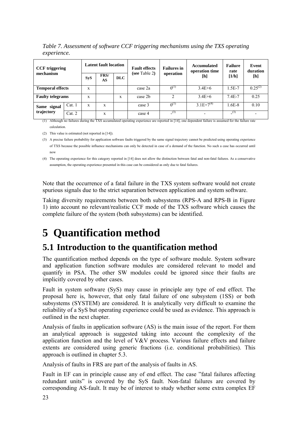<span id="page-27-0"></span>*Table 7. Assessment of software CCF triggering mechanisms using the TXS operating experience.* 

<span id="page-27-1"></span>

| <b>CCF</b> triggering   | <b>Latent fault location</b> |            |     | <b>Fault effects</b> | <b>Failures</b> in | Accumulated<br>operation time                                                                                                                                                                          | <b>Failure</b><br>rate | Event<br>duration |              |
|-------------------------|------------------------------|------------|-----|----------------------|--------------------|--------------------------------------------------------------------------------------------------------------------------------------------------------------------------------------------------------|------------------------|-------------------|--------------|
| mechanism               | <b>SyS</b>                   | FRS/<br>AS | DLC | (see Table 2)        | operation          | $[h] % \centering % {\includegraphics[width=0.9\textwidth]{images/TrDiM-Architecture.png} \caption{The figure shows the number of parameters in the left and right.} \label{fig:TrDiM-Architecture} %$ | [1/h]                  | [h]               |              |
| <b>Temporal effects</b> |                              | X          |     |                      | case 2a            | $0^{(1)}$                                                                                                                                                                                              | $3.4E + 6$             | $1.5E-7$          | $0.25^{(2)}$ |
| <b>Faulty telegrams</b> |                              | X          |     | X                    | case 2b            | $\overline{c}$                                                                                                                                                                                         | $3.4E + 6$             | $7.4E - 7$        | 0.25         |
| Same signal             | Cat.1                        | X          | X   |                      | case 3             | $0^{(1)}$                                                                                                                                                                                              | $3.1E+7^{(4)}$         | .6E-8             | 0.10         |
| trajectory              | Cat. 2                       |            | X   |                      | case 4             | (3)                                                                                                                                                                                                    |                        | (3)               |              |

 $(1)$  Although no failures during the TXS accumulated operating experience are reported in [14], one dependent failure is assumed for the failure rate calculation.

(2) This value is estimated (not reported in [\[14](#page-36-13)]).

(3) A precise failure probability for application software faults triggered by the same signal trajectory cannot be predicted using operating experience of TXS because the possible influence mechanisms can only be detected in case of a demand of the function. No such a case has occurred until now

(4) The operating experience for this category reported in [[14](#page-36-13)] does not allow the distinction between fatal and non-fatal failures. As a conservative assumption, the operating experience presented in this case can be considered as only due to fatal failures.

Note that the occurrence of a fatal failure in the TXS system software would not create spurious signals due to the strict separation between application and system software.

Taking diversity requirements between both subsystems (RPS-A and RPS-B in Figure 1) into account no relevant/realistic CCF mode of the TXS software which causes the complete failure of the system (both subsystems) can be identified.

## **5 Quantification method**

## **5.1 Introduction to the quantification method**

The quantification method depends on the type of software module. System software and application function software modules are considered relevant to model and quantify in PSA. The other SW modules could be ignored since their faults are implicitly covered by other cases.

Fault in system software (SyS) may cause in principle any type of end effect. The proposal here is, however, that only fatal failure of one subsystem (1SS) or both subsystems (SYSTEM) are considered. It is analytically very difficult to examine the reliability of a SyS but operating experience could be used as evidence. This approach is outlined in the next chapter.

Analysis of faults in application software (AS) is the main issue of the report. For them an analytical approach is suggested taking into account the complexity of the application function and the level of V&V process. Various failure effects and failure extents are considered using generic fractions (i.e. conditional probabilities). This approach is outlined in chapter 5.3.

Analysis of faults in FRS are part of the analysis of faults in AS.

Fault in EF can in principle cause any of end effect. The case "fatal failures affecting redundant units" is covered by the SyS fault. Non-fatal failures are covered by corresponding AS-fault. It may be of interest to study whether some extra complex EF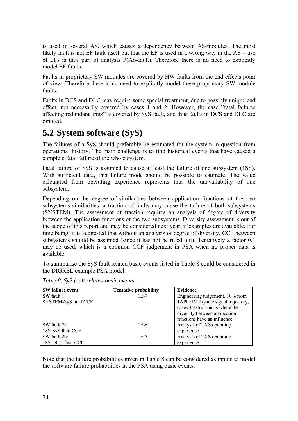<span id="page-28-0"></span>is used in several AS, which causes a dependency between AS-modules. The most likely fault is not EF fault itself but that the EF is used in a wrong way in the AS – use of EFs is thus part of analysis P(AS-fault). Therefore there is no need to explicitly model EF faults.

Faults in proprietary SW modules are covered by HW faults from the end effects point of view. Therefore there is no need to explicitly model these proprietary SW module faults.

Faults in DCS and DLC may require some special treatment, due to possibly unique end effect, not necessarily covered by cases 1 and 2. However, the case "fatal failures affecting redundant units" is covered by SyS fault, and thus faults in DCS and DLC are omitted.

## **5.2 System software (SyS)**

The failures of a SyS should preferably be estimated for the system in question from operational history. The main challenge is to find historical events that have caused a complete fatal failure of the whole system.

Fatal failure of SyS is assumed to cause at least the failure of one subsystem (1SS). With sufficient data, this failure mode should be possible to estimate. The value calculated from operating experience represents thus the unavailability of one subsystem.

Depending on the degree of similarities between application functions of the two subsystems similarities, a fraction of faults may cause the failure of both subsystems (SYSTEM). The assessment of fraction requires an analysis of degree of diversity between the application functions of the two subsystems. Diversity assessment is out of the scope of this report and may be considered next year, if examples are available. For time being, it is suggested that without an analysis of degree of diversity, CCF between subsystems should be assumed (since it has not be ruled out). Tentatively a factor 0.1 may be used, which is a common CCF judgement in PSA when no proper data is available.

To summarise the SyS fault related basic events listed in [Table 8](#page-28-1) could be considered in the DIGREL example PSA model.

<span id="page-28-1"></span>

| <b>SW</b> failure event | <b>Tentative probability</b> | <b>Evidence</b>                   |
|-------------------------|------------------------------|-----------------------------------|
| $SW$ fault 1:           | $1E-7$                       | Engineering judgement, 10% from   |
| SYSTEM-SyS fatal CCF    |                              | 1APU/1VU (same signal trajectory, |
|                         |                              | cases 3a/3b). This is where the   |
|                         |                              | diversity between application     |
|                         |                              | functions have an influence       |
| SW fault 2a:            | 1E-6                         | Analysis of TXS operating         |
| 1SS-SyS fatal CCF       |                              | experience                        |
| SW fault 2b:            | 1E-5                         | Analysis of TXS operating         |
| 1SS-DCU fatal CCF       |                              | experience                        |
|                         |                              |                                   |

*Table 8. SyS fault related basic events.* 

Note that the failure probabilities given in Table 8 can be considered as inputs to model the software failure probabilities in the PSA using basic events.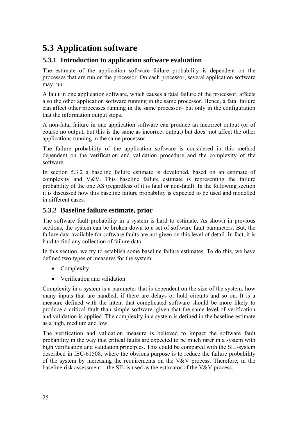## <span id="page-29-1"></span><span id="page-29-0"></span>**5.3 Application software**

#### **5.3.1 Introduction to application software evaluation**

The estimate of the application software failure probability is dependent on the processes that are run on the processor. On each processor, several application software may run.

A fault in one application software, which causes a fatal failure of the processor, affects also the other application software running in the same processor. Hence, a fatal failure can affect other processes running in the same processor– but only in the configuration that the information output stops.

A non-fatal failure in one application software can produce an incorrect output (or of course no output, but this is the same as incorrect output) but does not affect the other applications running in the same processor.

The failure probability of the application software is considered in this method dependent on the verification and validation procedure and the complexity of the software.

In section [5.3.2](#page-29-2) a baseline failure estimate is developed, based on an estimate of complexity and V&V. This baseline failure estimate is representing the failure probability of the one AS (regardless of it is fatal or non-fatal). In the following section it is discussed how this baseline failure probability is expected to be used and modelled in different cases.

#### <span id="page-29-2"></span>**5.3.2 Baseline failure estimate, prior**

The software fault probability in a system is hard to estimate. As shown in previous sections, the system can be broken down to a set of software fault parameters. But, the failure data available for software faults are not given on this level of detail. In fact, it is hard to find any collection of failure data.

In this section, we try to establish some baseline failure estimates. To do this, we have defined two types of measures for the system:

- Complexity
- Verification and validation

Complexity in a system is a parameter that is dependent on the size of the system, how many inputs that are handled, if there are delays or hold circuits and so on. It is a measure defined with the intent that complicated software should be more likely to produce a critical fault than simple software, given that the same level of verification and validation is applied. The complexity in a system is defined in the baseline estimate as a high, medium and low.

The verification and validation measure is believed to impact the software fault probability in the way that critical faults are expected to be much rarer in a system with high verification and validation principles. This could be compared with the SIL-system described in IEC-61508, where the obvious purpose is to reduce the failure probability of the system by increasing the requirements on the V&V process. Therefore, in the baseline risk assessment – the SIL is used as the estimator of the V&V process.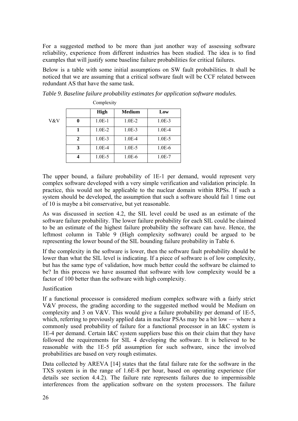<span id="page-30-0"></span>For a suggested method to be more than just another way of assessing software reliability, experience from different industries has been studied. The idea is to find examples that will justify some baseline failure probabilities for critical failures.

Below is a table with some initial assumptions on SW fault probabilities. It shall be noticed that we are assuming that a critical software fault will be CCF related between redundant AS that have the same task.

|     |              | COMPLEXITY  |               |          |
|-----|--------------|-------------|---------------|----------|
|     |              | <b>High</b> | <b>Medium</b> | Low      |
| V&V | 0            | $1.0E-1$    | $1.0E-2$      | $1.0E-3$ |
|     |              | $1.0E-2$    | $1.0E-3$      | $1.0E-4$ |
|     | $\mathbf{2}$ | $1.0E-3$    | $1.0E-4$      | $1.0E-5$ |
|     | 3            | 1.0E-4      | $1.0E-5$      | $1.0E-6$ |
|     |              | $1.0E-5$    | $1.0E-6$      | $1.0E-7$ |

 $C_1$  and  $C_2$ 

<span id="page-30-1"></span>

|  |  |  |  |  |  | Table 9. Baseline failure probability estimates for application software modules. |
|--|--|--|--|--|--|-----------------------------------------------------------------------------------|
|--|--|--|--|--|--|-----------------------------------------------------------------------------------|

The upper bound, a failure probability of 1E-1 per demand, would represent very complex software developed with a very simple verification and validation principle. In practice, this would not be applicable to the nuclear domain within RPSs. If such a system should be developed, the assumption that such a software should fail 1 time out of 10 is maybe a bit conservative, but yet reasonable.

As was discussed in section 4.2, the SIL level could be used as an estimate of the software failure probability. The lower failure probability for each SIL could be claimed to be an estimate of the highest failure probability the software can have. Hence, the leftmost column in [Table 9](#page-30-1) (High complexity software) could be argued to be representing the lower bound of the SIL bounding failure probability in [Table 6.](#page-21-1)

If the complexity in the software is lower, then the software fault probability should be lower than what the SIL level is indicating. If a piece of software is of low complexity, but has the same type of validation, how much better could the software be claimed to be? In this process we have assumed that software with low complexity would be a factor of 100 better than the software with high complexity.

#### **Justification**

If a functional processor is considered medium complex software with a fairly strict V&V process, the grading according to the suggested method would be Medium on complexity and 3 on V&V. This would give a failure probability per demand of 1E-5, which, referring to previously applied data in nuclear PSAs may be a bit low — where a commonly used probability of failure for a functional processor in an I&C system is 1E-4 per demand. Certain I&C system suppliers base this on their claim that they have followed the requirements for SIL 4 developing the software. It is believed to be reasonable with the 1E-5 pfd assumption for such software, since the involved probabilities are based on very rough estimates.

Data collected by AREVA [[14\]](#page-36-13) states that the fatal failure rate for the software in the TXS system is in the range of 1.6E-8 per hour, based on operating experience (for details see section [4.4.2\)](#page-25-1). The failure rate represents failures due to impermissible interferences from the application software on the system processors. The failure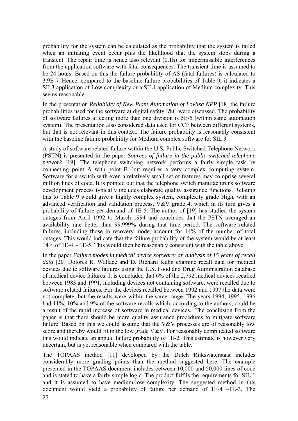probability for the system can be calculated as the probability that the system is failed when an initiating event occur plus the likelihood that the system stops during a transient. The repair time is hence also relevant (0.1h) for impermissible interferences from the application software with fatal consequences. The transient time is assumed to be 24 hours. Based on this the failure probability of AS (fatal failures) is calculated to 3.9E-7. Hence, compared to the baseline failure probabilities of Table 9, it indicates a SIL3 application of Low complexity or a SIL4 application of Medium complexity. This seems reasonable.

In the presentation *Reliability of New Plant Automation of Loviisa NPP* [\[18](#page-36-15)] the failure probabilities used for the software at digital safety I&C were discussed. The probability of software failures affecting more than one division is 5E-5 (within same automation system). The presentation also considered data used for CCF between different systems, but that is not relevant in this context. The failure probability is reasonably consistent with the baseline failure probability for Medium complex software for SIL 3.

A study of software related failure within the U.S. Public Switched Telephone Network (PSTN) is presented in the paper *Sources of failure in the public switched telephone network* [[19\]](#page-36-16). The telephone switching network performs a fairly simple task by connecting point A with point B, but requires a very complex computing system. Software for a switch with even a relatively small set of features may comprise several million lines of code. It is pointed out that the telephone switch manufacturer's software development process typically includes elaborate quality assurance functions. Relating this to [Table 9](#page-30-1) would give a highly complex system, complexity grade High, with an advanced verification and validation process, V&V grade 4, which in its turn gives a probability of failure per demand of 1E-5. The author of [\[19](#page-36-16)] has studied the system outages from April 1992 to March 1994 and concludes that the PSTN averaged an availability rate better than 99.999% during that time period. The software related failures, including those in recovery mode, account for 14% of the number of total outages. This would indicate that the failure probability of the system would be at least 14% of 1E-4  $\sim$  1E-5. This would then be reasonably consistent with the table above.

In the paper *Failure modes in medical device software: an analysis of 15 years of recall data* [\[20](#page-36-17)] Dolores R. Wallace and D. Richard Kuhn examine recall data for medical devices due to software failures using the U.S. Food and Drug Administration database of medical device failures. It is concluded that 6% of the 2,792 medical devices recalled between 1983 and 1991, including devices not containing software, were recalled due to software related failures. For the devices recalled between 1992 and 1997 the data were not complete, but the results were within the same range. The years 1994, 1995, 1996 had 11%, 10% and 9% of the software recalls which, according to the authors, could be a result of the rapid increase of software in medical devices. The conclusion from the paper is that there should be more quality assurance procedures to mitigate software failure. Based on this we could assume that the V&V processes are of reasonably low score and thereby would fit in the low grade  $V&V$ . For reasonably complicated software this would indicate an annual failure probability of 1E-2. This estimate is however very uncertain, but is yet reasonable when compared with the table.

The TOPAAS method [[11\]](#page-36-9) developed by the Dutch Rijkswaterstaat includes considerably more grading points than the method suggested here. The example presented in the TOPAAS document includes between 10,000 and 50,000 lines of code and is stated to have a fairly simple logic. The product fulfils the requirements for SIL 1 and it is assumed to have medium-low complexity. The suggested method in this document would yield a probability of failure per demand of 1E-4 –1E-3. The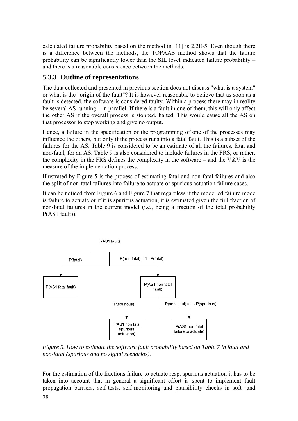<span id="page-32-0"></span>calculated failure probability based on the method in [[11\]](#page-36-9) is 2.2E-5. Even though there is a difference between the methods, the TOPAAS method shows that the failure probability can be significantly lower than the SIL level indicated failure probability – and there is a reasonable consistence between the methods.

#### **5.3.3 Outline of representations**

The data collected and presented in previous section does not discuss "what is a system" or what is the "origin of the fault"? It is however reasonable to believe that as soon as a fault is detected, the software is considered faulty. Within a process there may in reality be several AS running – in parallel. If there is a fault in one of them, this will only affect the other AS if the overall process is stopped, halted. This would cause all the AS on that processor to stop working and give no output.

Hence, a failure in the specification or the programming of one of the processes may influence the others, but only if the process runs into a fatal fault. This is a subset of the failures for the AS. [Table 9](#page-30-1) is considered to be an estimate of all the failures, fatal and non-fatal, for an AS. [Table 9](#page-30-1) is also considered to include failures in the FRS, or rather, the complexity in the FRS defines the complexity in the software – and the V&V is the measure of the implementation process.

Illustrated by [Figure 5](#page-32-1) is the process of estimating fatal and non-fatal failures and also the split of non-fatal failures into failure to actuate or spurious actuation failure cases.

It can be noticed from [Figure 6](#page-34-1) and [Figure 7](#page-34-2) that regardless if the modelled failure mode is failure to actuate or if it is spurious actuation, it is estimated given the full fraction of non-fatal failures in the current model (i.e., being a fraction of the total probability P(AS1 fault)).



<span id="page-32-1"></span>*Figure 5. How to estimate the software fault probability based on [Table 7](#page-27-1) in fatal and non-fatal (spurious and no signal scenarios).* 

For the estimation of the fractions failure to actuate resp. spurious actuation it has to be taken into account that in general a significant effort is spent to implement fault propagation barriers, self-tests, self-monitoring and plausibility checks in soft- and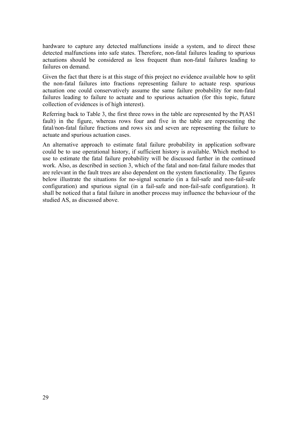hardware to capture any detected malfunctions inside a system, and to direct these detected malfunctions into safe states. Therefore, non-fatal failures leading to spurious actuations should be considered as less frequent than non-fatal failures leading to failures on demand.

Given the fact that there is at this stage of this project no evidence available how to split the non-fatal failures into fractions representing failure to actuate resp. spurious actuation one could conservatively assume the same failure probability for non-fatal failures leading to failure to actuate and to spurious actuation (for this topic, future collection of evidences is of high interest).

Referring back to [Table 3,](#page-15-1) the first three rows in the table are represented by the P(AS1 fault) in the figure, whereas rows four and five in the table are representing the fatal/non-fatal failure fractions and rows six and seven are representing the failure to actuate and spurious actuation cases.

An alternative approach to estimate fatal failure probability in application software could be to use operational history, if sufficient history is available. Which method to use to estimate the fatal failure probability will be discussed further in the continued work. Also, as described in section 3, which of the fatal and non-fatal failure modes that are relevant in the fault trees are also dependent on the system functionality. The figures below illustrate the situations for no-signal scenario (in a fail-safe and non-fail-safe configuration) and spurious signal (in a fail-safe and non-fail-safe configuration). It shall be noticed that a fatal failure in another process may influence the behaviour of the studied AS, as discussed above.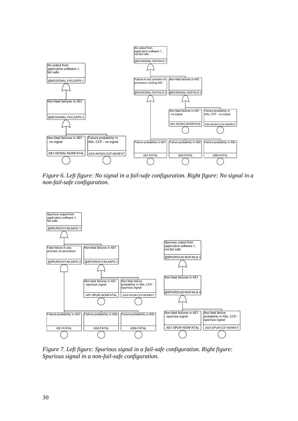<span id="page-34-0"></span>

<span id="page-34-1"></span>*Figure 6. Left figure: No signal in a fail-safe configuration. Right figure: No signal in a non-fail-safe configuration.* 



<span id="page-34-2"></span>*Figure 7. Left figure: Spurious signal in a fail-safe configuration. Right figure: Spurious signal in a non-fail-safe configuration.*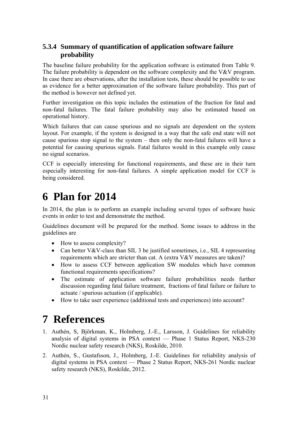#### <span id="page-35-0"></span>**5.3.4 Summary of quantification of application software failure probability**

The baseline failure probability for the application software is estimated from [Table 9](#page-30-1). The failure probability is dependent on the software complexity and the V&V program. In case there are observations, after the installation tests, these should be possible to use as evidence for a better approximation of the software failure probability. This part of the method is however not defined yet.

Further investigation on this topic includes the estimation of the fraction for fatal and non-fatal failures. The fatal failure probability may also be estimated based on operational history.

Which failures that can cause spurious and no signals are dependent on the system layout. For example, if the system is designed in a way that the safe end state will not cause spurious stop signal to the system – then only the non-fatal failures will have a potential for causing spurious signals. Fatal failures would in this example only cause no signal scenarios.

CCF is especially interesting for functional requirements, and these are in their turn especially interesting for non-fatal failures. A simple application model for CCF is being considered.

## **6 Plan for 2014**

In 2014, the plan is to perform an example including several types of software basic events in order to test and demonstrate the method.

Guidelines document will be prepared for the method. Some issues to address in the guidelines are

- How to assess complexity?
- Can better V&V-class than SIL 3 be justified sometimes, i.e., SIL 4 representing requirements which are stricter than cat. A (extra V&V measures are taken)?
- How to assess CCF between application SW modules which have common functional requirements specifications?
- The estimate of application software failure probabilities needs further discussion regarding fatal failure treatment, fractions of fatal failure or failure to actuate / spurious actuation (if applicable).
- How to take user experience (additional tests and experiences) into account?

## **7 References**

- <span id="page-35-1"></span>1. Authén, S, Björkman, K., Holmberg, J.-E., Larsson, J. Guidelines for reliability analysis of digital systems in PSA context — Phase 1 Status Report, NKS-230 Nordic nuclear safety research (NKS), Roskilde, 2010.
- <span id="page-35-2"></span>2. Authén, S., Gustafsson, J., Holmberg, J.-E. Guidelines for reliability analysis of digital systems in PSA context — Phase 2 Status Report, NKS-261 Nordic nuclear safety research (NKS), Roskilde, 2012.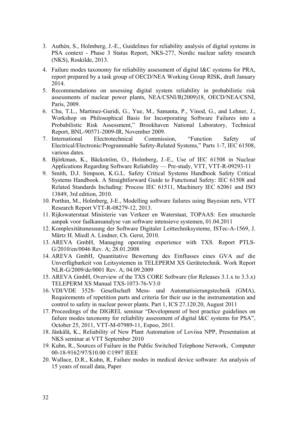- <span id="page-36-0"></span>3. Authén, S., Holmberg, J.-E., Guidelines for reliability analysis of digital systems in PSA context - Phase 3 Status Report, NKS-277, Nordic nuclear safety research (NKS), Roskilde, 2013.
- <span id="page-36-1"></span>4. Failure modes taxonomy for reliability assessment of digital I&C systems for PRA, report prepared by a task group of OECD/NEA Working Group RISK, draft January 2014.
- <span id="page-36-2"></span>5. Recommendations on assessing digital system reliability in probabilistic risk assessments of nuclear power plants, NEA/CSNI/R(2009)18, OECD/NEA/CSNI, Paris, 2009.
- <span id="page-36-3"></span>6. Chu, T.L., Martinez-Guridi, G., Yue, M., Samanta, P., Vinod, G., and Lehner, J., Workshop on Philosophical Basis for Incorporating Software Failures into a Probabilistic Risk Assessment," Brookhaven National Laboratory, Technical Report, BNL-90571-2009-IR, November 2009.
- <span id="page-36-6"></span>7. International Electrotechnical Commission, "Function Safety of Electrical/Electronic/Programmable Safety-Related Systems," Parts 1-7, IEC 61508, various dates.
- <span id="page-36-7"></span>8. Björkman, K., Bäckström, O., Holmberg, J.-E., Use of IEC 61508 in Nuclear Applications Regarding Software Reliability — Pre-study, VTT, VTT-R-09293-11
- <span id="page-36-8"></span>9. Smith, D.J. Simpson, K.G.L. Safety Critical Systems Handbook Safety Critical Systems Handbook. A Straightforward Guide to Functional Safety: IEC 61508 and Related Standards Including: Process IEC 61511, Machinery IEC 62061 and ISO 13849, 3rd edition, 2010.
- <span id="page-36-5"></span>10. Porthin, M., Holmberg, J-E., Modelling software failures using Bayesian nets, VTT Research Report VTT-R-08279-12, 2013.
- <span id="page-36-9"></span>11. Rijkswaterstaat Ministerie van Verkeer en Waterstaat, TOPAAS: Een structurele aanpak voor faalkansanalyse van software intensieve systemen, 01.04.2011
- <span id="page-36-10"></span>12. Komplexitätsmessung der Software Digitaler Leittechniksysteme, ISTec-A-1569, J. Märtz H. Miedl A. Lindner, Ch. Gerst, 2010.
- <span id="page-36-14"></span>13. AREVA GmbH, Managing operating experience with TXS. Report PTLS-G/2010/en/0046 Rev. A; 28.01.2008
- <span id="page-36-13"></span>14. AREVA GmbH, Quantitative Bewertung des Einflusses eines GVA auf die Unverfügbarkeit von Leitsystemen in TELEPERM XS Gerätetechnik. Work Report NLR-G/2009/de/0001 Rev. A; 04.09.2009
- <span id="page-36-11"></span>15. AREVA GmbH, Overview of the TXS CORE Software (for Releases 3.1.x to 3.3.x) TELEPERM XS Manual TXS-1073-76-V3.0
- <span id="page-36-12"></span>16. VDI/VDE 3528- Gesellschaft Mess- und Automatisierungstechnik (GMA), Requirements of repetition parts and criteria for their use in the instrumentation and control to safety in nuclear power plants. Part 1, ICS 27.120.20, August 2011
- 17. Proceedings of the DIGREL seminar "Development of best practice guidelines on failure modes taxonomy for reliability assessment of digital I&C systems for PSA", October 25, 2011, VTT-M-07989-11, Espoo, 2011.
- <span id="page-36-15"></span><span id="page-36-4"></span>18. Jänkälä, K., Reliability of New Plant Automation of Loviisa NPP, Presentation at NKS seminar at VTT September 2010
- <span id="page-36-16"></span>19. Kuhn, R., Sources of Failure in the Public Switched Telephone Network, Computer 00-18-9162/97/\$10.00 ©1997 IEEE
- <span id="page-36-17"></span>20. Wallace, D.R., Kuhn, R, Failure modes in medical device software: An analysis of 15 years of recall data, Paper